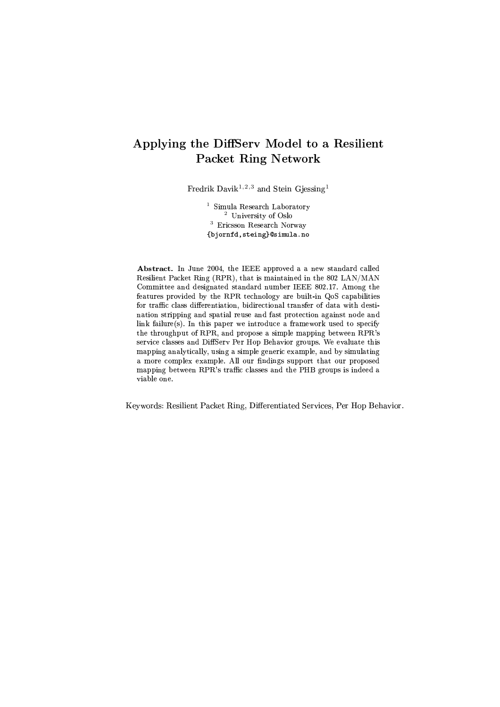# Applying the DiffServ Model to a Resilient **Packet Ring Network**

Fredrik Davik<sup>1,2,3</sup> and Stein Gjessing<sup>1</sup>

<sup>1</sup> Simula Research Laboratory <sup>2</sup> University of Oslo  $^3\;$  Ericsson Research Norway {bjornfd, steing}@simula.no

Abstract. In June 2004, the IEEE approved a a new standard called Resilient Packet Ring (RPR), that is maintained in the 802 LAN/MAN Committee and designated standard number IEEE 802.17. Among the features provided by the RPR technology are built-in QoS capabilities for traffic class differentiation, bidirectional transfer of data with destination stripping and spatial reuse and fast protection against node and link failure(s). In this paper we introduce a framework used to specify the throughput of RPR, and propose a simple mapping between RPR's service classes and DiffServ Per Hop Behavior groups. We evaluate this mapping analytically, using a simple generic example, and by simulating a more complex example. All our findings support that our proposed mapping between RPR's traffic classes and the PHB groups is indeed a viable one.

Keywords: Resilient Packet Ring, Differentiated Services, Per Hop Behavior.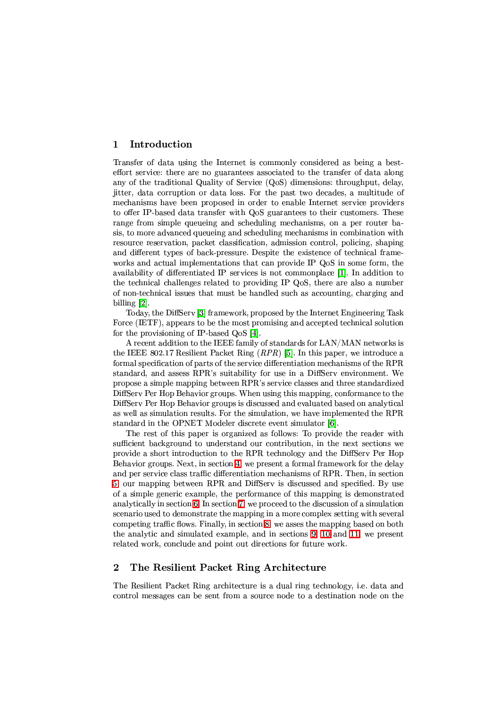#### <span id="page-1-1"></span>Introduction  $\mathbf{1}$

Transfer of data using the Internet is commonly considered as being a besteffort service: there are no guarantees associated to the transfer of data along any of the traditional Quality of Service (QoS) dimensions: throughput, delay, jitter, data corruption or data loss. For the past two decades, a multitude of mechanisms have been proposed in order to enable Internet service providers to offer IP-based data transfer with QoS guarantees to their customers. These range from simple queueing and scheduling mechanisms, on a per router basis, to more advanced queueing and scheduling mechanisms in combination with resource reservation, packet classification, admission control, policing, shaping and different types of back-pressure. Despite the existence of technical frameworks and actual implementations that can provide IP QoS in some form, the availability of differentiated IP services is not commonplace [1]. In addition to the technical challenges related to providing IP QoS, there are also a number of non-technical issues that must be handled such as accounting, charging and billing  $[2]$ .

Today, the DiffServ [3] framework, proposed by the Internet Engineering Task Force (IETF), appears to be the most promising and accepted technical solution for the provisioning of IP-based QoS [4].

A recent addition to the IEEE family of standards for LAN/MAN networks is the IEEE 802.17 Resilient Packet Ring  $(RPR)$  [5]. In this paper, we introduce a formal specification of parts of the service differentiation mechanisms of the RPR standard, and assess RPR's suitability for use in a DiffServ environment. We propose a simple mapping between RPR's service classes and three standardized DiffSery Per Hop Behavior groups. When using this mapping, conformance to the DiffServ Per Hop Behavior groups is discussed and evaluated based on analytical as well as simulation results. For the simulation, we have implemented the RPR standard in the OPNET Modeler discrete event simulator [6].

The rest of this paper is organized as follows: To provide the reader with sufficient background to understand our contribution, in the next sections we provide a short introduction to the RPR technology and the DiffServ Per Hop Behavior groups. Next, in section 4, we present a formal framework for the delay and per service class traffic differentiation mechanisms of RPR. Then, in section 5, our mapping between RPR and DiffServ is discussed and specified. By use of a simple generic example, the performance of this mapping is demonstrated analytically in section 6. In section 7, we proceed to the discussion of a simulation scenario used to demonstrate the mapping in a more complex setting with several competing traffic flows. Finally, in section 8, we asses the mapping based on both the analytic and simulated example, and in sections 9, 10 and 11, we present related work, conclude and point out directions for future work.

#### <span id="page-1-0"></span> $\overline{2}$ The Resilient Packet Ring Architecture

The Resilient Packet Ring architecture is a dual ring technology, i.e. data and control messages can be sent from a source node to a destination node on the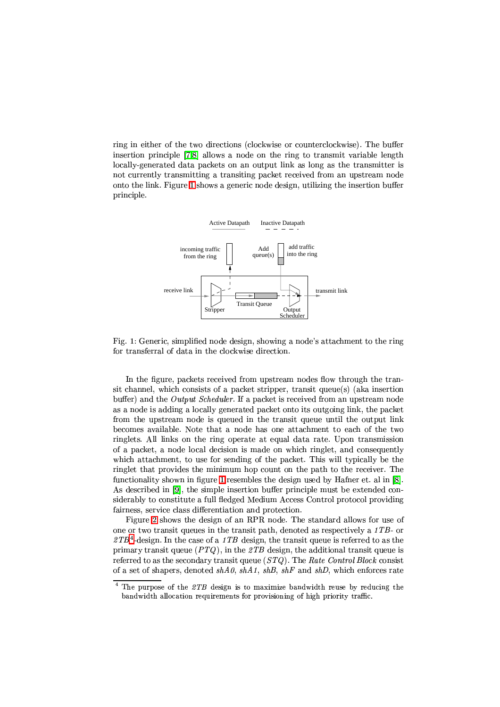ring in either of the two directions (clockwise or counterclockwise). The buffer insertion principle [7,8] allows a node on the ring to transmit variable length locally-generated data packets on an output link as long as the transmitter is not currently transmitting a transiting packet received from an upstream node onto the link. Figure 1 shows a generic node design, utilizing the insertion buffer principle.



<span id="page-2-0"></span>Fig. 1: Generic, simplified node design, showing a node's attachment to the ring for transferral of data in the clockwise direction.

In the figure, packets received from upstream nodes flow through the transit channel, which consists of a packet stripper, transit queue(s) (aka insertion buffer) and the *Output Scheduler*. If a packet is received from an upstream node as a node is adding a locally generated packet onto its outgoing link, the packet from the upstream node is queued in the transit queue until the output link becomes available. Note that a node has one attachment to each of the two ringlets. All links on the ring operate at equal data rate. Upon transmission of a packet, a node local decision is made on which ringlet, and consequently which attachment, to use for sending of the packet. This will typically be the ringlet that provides the minimum hop count on the path to the receiver. The functionality shown in figure 1 resembles the design used by Hafner et. al in [8]. As described in [9], the simple insertion buffer principle must be extended considerably to constitute a full fledged Medium Access Control protocol providing fairness, service class differentiation and protection.

Figure 2 shows the design of an RPR node. The standard allows for use of one or two transit queues in the transit path, denoted as respectively a 1TB- or  $ZTB<sup>4</sup>$ -design. In the case of a 1TB design, the transit queue is referred to as the primary transit queue  $(PTQ)$ , in the 2TB design, the additional transit queue is referred to as the secondary transit queue  $(TQ)$ . The Rate Control Block consist of a set of shapers, denoted  $shA0$ ,  $shA1$ ,  $shB$ ,  $shF$  and  $shD$ , which enforces rate

<span id="page-2-1"></span> $4$  The purpose of the 2TB design is to maximize bandwidth reuse by reducing the bandwidth allocation requirements for provisioning of high priority traffic.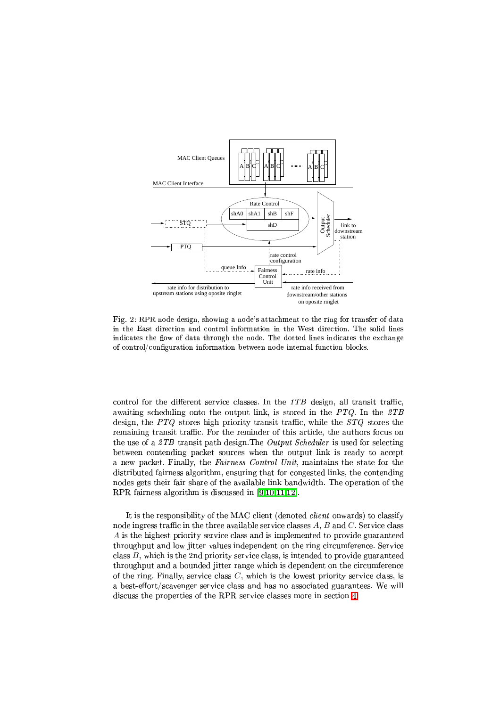

<span id="page-3-0"></span> $\Gamma$   $\alpha$  0. D DD reads decima showing a nodels ettechment to the ring for trengton of determining  $\pm$  the Feet direction and central information in the West direction. The solid lines  $\pm$  disatos the flam of data through the nade. The datted lines indicates the exchange of control/configuration information between node internal function blocks.

control for the different service classes. In the  $ITB$  design, all transit traffic. awaiting scheduling onto the output link, is stored in the  $PTO$ . In the  $\mathcal{Z}TB$ design, the  $PTQ$  stores high priority transit traffic, while the  $STQ$  stores the remaining transit traffic. For the reminder of this article, the authors focus on  $\alpha$  (amp)  $\alpha$  is the  $\alpha$  in  $\alpha$  in  $\alpha$  in  $\alpha$  is the  $\alpha$ between contending packet sources when the output link is ready to accept ! # ! % # ! % - - - ! # % ! # ( % (% ! % % distributed fairness algorithm, ensuring that for congested links, the contending RPRfairness algorithm is discussed in  $[9,10,11,12]$ .

 $\blacksquare$  (  $\blacksquare$  ) (  $\blacksquare$  ) (  $\blacksquare$  ) (  $\blacksquare$  ) (  $\blacksquare$  ) (  $\blacksquare$  ) (  $\blacksquare$  ) (  $\blacksquare$  ) (  $\blacksquare$  ) (  $\blacksquare$  ) (  $\blacksquare$  ) (  $\blacksquare$  ) (  $\blacksquare$  ) (  $\blacksquare$  ) (  $\blacksquare$  ) (  $\blacksquare$  ) (  $\blacksquare$  ) (  $\blacksquare$  ) (  $\blacksquare$  ) (  $\bl$ node ingress traffic in the three available service classes  $A, \, B$  and  $C.$  Service class  $A$  is the highest priority service class and is implemented to provide guaranteed throughput and low jitter values independent on the ring circumference. Service class  $B$ , which is the 2nd priority service class, is intended to provide guaranteed throughput and a bounded jitter range which is dependent on the circumference of the ring. Finally, service class  $C$ , which is the lowest priority service class, is a best-effort/scavenger service class and has no associated guarantees. We will discussthe properties of the RPR service classes more in section 4.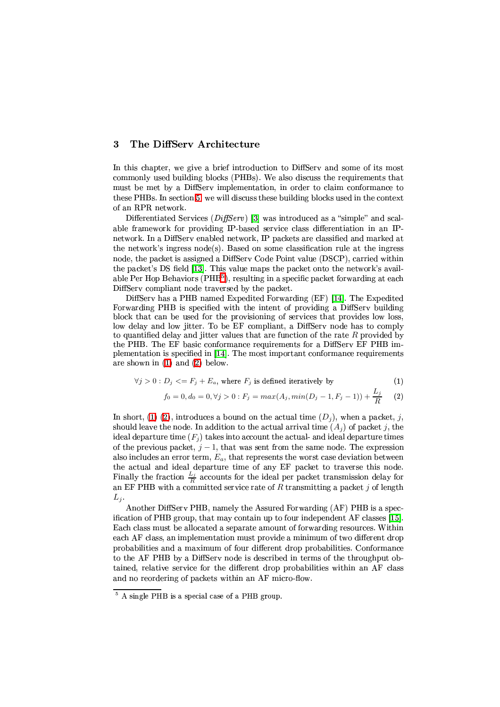#### <span id="page-4-2"></span>The DiffServ Architecture  $\overline{\mathbf{3}}$

In this chapter, we give a brief introduction to DiffServ and some of its most commonly used building blocks (PHBs). We also discuss the requirements that must be met by a DiffServ implementation, in order to claim conformance to these PHBs. In section 5, we will discuss these building blocks used in the context of an RPR network.

Differentiated Services ( $DiffServ$ ) [3] was introduced as a "simple" and scalable framework for providing IP-based service class differentiation in an IPnetwork. In a DiffServ enabled network, IP packets are classified and marked at the network's ingress node(s). Based on some classification rule at the ingress node, the packet is assigned a DiffServ Code Point value (DSCP), carried within the packet's DS field [13]. This value maps the packet onto the network's available Per Hop Behaviors (PHB<sup>5</sup>), resulting in a specific packet forwarding at each DiffServ compliant node traversed by the packet.

DiffServ has a PHB named Expedited Forwarding (EF) [14]. The Expedited Forwarding PHB is specified with the intent of providing a DiffServ building block that can be used for the provisioning of services that provides low loss, low delay and low jitter. To be EF compliant, a DiffServ node has to comply to quantified delay and jitter values that are function of the rate  $R$  provided by the PHB. The EF basic conformance requirements for a DiffServ EF PHB implementation is specified in [14]. The most important conformance requirements are shown in  $(1)$  and  $(2)$  below.

$$
\forall j > 0 : D_j \langle F_j + E_a, \text{ where } F_j \text{ is defined iteratively by} \tag{1}
$$

$$
f_0 = 0, d_0 = 0, \forall j > 0: F_j = max(A_j, min(D_j - 1, F_j - 1)) + \frac{L_j}{R}
$$
 (2)

<span id="page-4-1"></span>In short, (1) (2), introduces a bound on the actual time  $(D_j)$ , when a packet, j, should leave the node. In addition to the actual arrival time  $(A_i)$  of packet j, the ideal departure time  $(F_i)$  takes into account the actual- and ideal departure times of the previous packet,  $j-1$ , that was sent from the same node. The expression also includes an error term,  $E_a$ , that represents the worst case deviation between the actual and ideal departure time of any EF packet to traverse this node. Finally the fraction  $\frac{L_j}{R}$  accounts for the ideal per packet transmission delay for an EF PHB with a committed service rate of R transmitting a packet j of length  $L_j$ 

Another DiffServ PHB, namely the Assured Forwarding (AF) PHB is a specification of PHB group, that may contain up to four independent AF classes [15]. Each class must be allocated a separate amount of forwarding resources. Within each AF class, an implementation must provide a minimum of two different drop probabilities and a maximum of four different drop probabilities. Conformance to the AF PHB by a DiffServ node is described in terms of the throughput obtained, relative service for the different drop probabilities within an AF class and no reordering of packets within an AF micro-flow.

<span id="page-4-0"></span> $5$  A single PHB is a special case of a PHB group.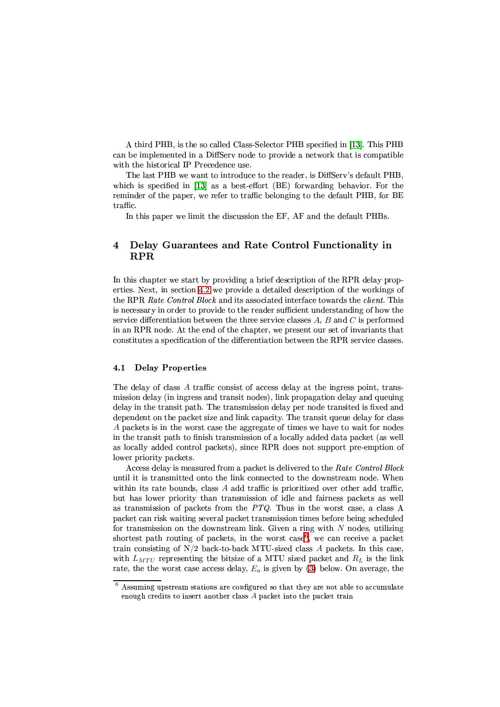A third PHB, is the so called Class-Selector PHB specified in [13]. This PHB can be implemented in a DiffServ node to provide a network that is compatible with the historical IP Precedence use.

The last PHB we want to introduce to the reader, is DiffServ's default PHB, which is specified in [13] as a best-effort  $(BE)$  forwarding behavior. For the reminder of the paper, we refer to traffic belonging to the default PHB, for BE traffic.

In this paper we limit the discussion the EF, AF and the default PHBs.

### <span id="page-5-0"></span> $\overline{\mathbf{4}}$ Delay Guarantees and Rate Control Functionality in **RPR**

In this chapter we start by providing a brief description of the RPR delay properties. Next, in section 4.2 we provide a detailed description of the workings of the RPR Rate Control Block and its associated interface towards the client. This is necessary in order to provide to the reader sufficient understanding of how the service differentiation between the three service classes  $A, B$  and  $C$  is performed in an RPR node. At the end of the chapter, we present our set of invariants that constitutes a specification of the differentiation between the RPR service classes.

#### <span id="page-5-2"></span> $4.1$ **Delay Properties**

The delay of class A traffic consist of access delay at the ingress point, transmission delay (in ingress and transit nodes), link propagation delay and queuing delay in the transit path. The transmission delay per node transited is fixed and dependent on the packet size and link capacity. The transit queue delay for class A packets is in the worst case the aggregate of times we have to wait for nodes in the transit path to finish transmission of a locally added data packet (as well as locally added control packets), since RPR does not support pre-emption of lower priority packets.

Access delay is measured from a packet is delivered to the Rate Control Block until it is transmitted onto the link connected to the downstream node. When within its rate bounds, class A add traffic is prioritized over other add traffic, but has lower priority than transmission of idle and fairness packets as well as transmission of packets from the  $PTQ$ . Thus in the worst case, a class A packet can risk waiting several packet transmission times before being scheduled for transmission on the downstream link. Given a ring with  $N$  nodes, utilizing shortest path routing of packets, in the worst case<sup>6</sup>, we can receive a packet train consisting of  $N/2$  back-to-back MTU-sized class A packets. In this case, with  $L_{MTU}$  representing the bitsize of a MTU sized packet and  $R_L$  is the link rate, the the worst case access delay,  $E_a$  is given by (3) below. On average, the

<span id="page-5-1"></span> $6$  Assuming upstream stations are configured so that they are not able to accumulate enough credits to insert another class A packet into the packet train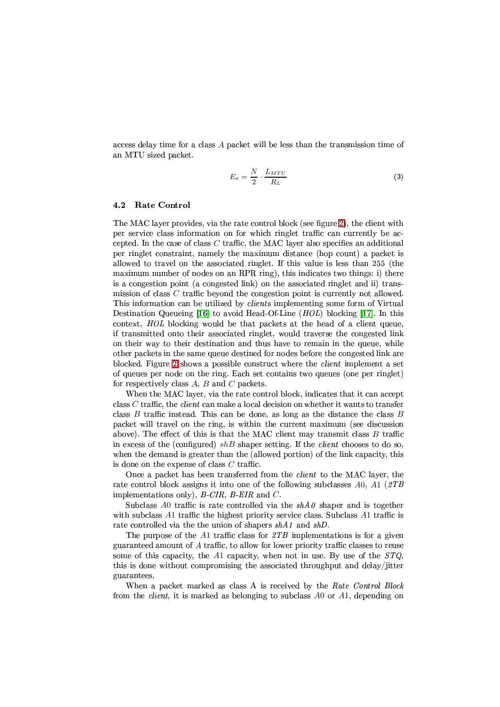<span id="page-6-1"></span>access delay time for a class A packet will be less than the transmission time of an MTU sized packet.

$$
E_a = \frac{N}{2} \cdot \frac{L_{MTU}}{R_L} \tag{3}
$$

#### <span id="page-6-0"></span>**Rate Control**  $4.2$

The MAC layer provides, via the rate control block (see figure 2), the client with per service class information on for which ringlet traffic can currently be accepted. In the case of class  $C$  traffic, the MAC layer also specifies an additional per ringlet constraint, namely the maximum distance (hop count) a packet is allowed to travel on the associated ringlet. If this value is less than 255 (the maximum number of nodes on an RPR ring), this indicates two things: i) there is a congestion point (a congested link) on the associated ringlet and ii) transmission of class C traffic beyond the congestion point is currently not allowed. This information can be utilized by *clients* implementing some form of Virtual Destination Queueing [16] to avoid Head-Of-Line  $(HOL)$  blocking [17]. In this context, HOL blocking would be that packets at the head of a client queue, if transmitted onto their associated ringlet, would traverse the congested link on their way to their destination and thus have to remain in the queue, while other packets in the same queue destined for nodes before the congested link are blocked. Figure 2 shows a possible construct where the *client* implement a set of queues per node on the ring. Each set contains two queues (one per ringlet) for respectively class A, B and C packets.

When the MAC layer, via the rate control block, indicates that it can accept class  $C$  traffic, the *client* can make a local decision on whether it wants to transfer class  $B$  traffic instead. This can be done, as long as the distance the class  $B$ packet will travel on the ring, is within the current maximum (see discussion above). The effect of this is that the MAC client may transmit class  $B$  traffic in excess of the (configured)  $shB$  shaper setting. If the *client* chooses to do so, when the demand is greater than the (allowed portion) of the link capacity, this is done on the expense of class  $C$  traffic.

Once a packet has been transferred from the *client* to the MAC layer, the rate control block assigns it into one of the following subclasses A0, A1 ( $2TB$ ) implementations only),  $B$ -CIR,  $B$ -EIR and C.

Subclass A0 traffic is rate controlled via the  $shA\theta$  shaper and is together with subclass A1 traffic the highest priority service class. Subclass A1 traffic is rate controlled via the the union of shapers  $shA1$  and  $shD$ .

The purpose of the A1 traffic class for  $\mathcal{Z}TB$  implementations is for a given guaranteed amount of A traffic, to allow for lower priority traffic classes to reuse some of this capacity, the A1 capacity, when not in use. By use of the  $STQ$ , this is done without compromising the associated throughput and delay/jitter guarantees.

When a packet marked as class A is received by the Rate Control Block from the *client*, it is marked as belonging to subclass  $A0$  or  $A1$ , depending on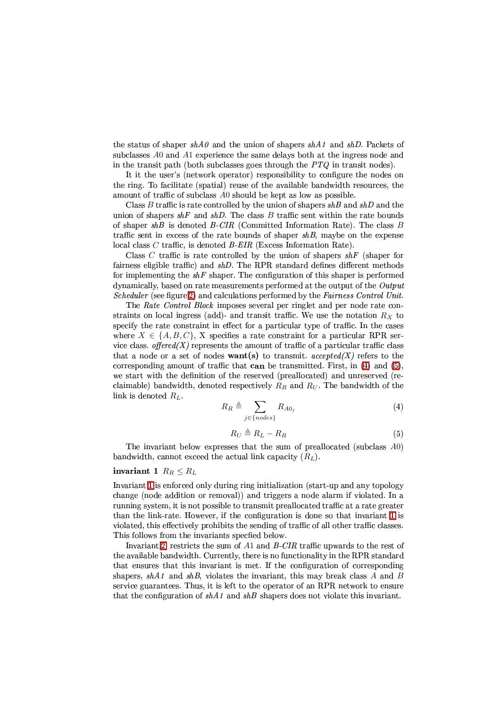the status of shaper  $shA0$  and the union of shapers  $shA1$  and  $shD$ . Packets of subclasses A0 and A1 experience the same delays both at the ingress node and in the transit path (both subclasses goes through the  $PTQ$  in transit nodes).

It it the user's (network operator) responsibility to configure the nodes on the ring. To facilitate (spatial) reuse of the available bandwidth resources, the amount of traffic of subclass A0 should be kept as low as possible.

Class B traffic is rate controlled by the union of shapers  $shB$  and  $shD$  and the union of shapers  $shF$  and  $shD$ . The class  $B$  traffic sent within the rate bounds of shaper  $shB$  is denoted  $B-CIR$  (Committed Information Rate). The class  $B$ traffic sent in excess of the rate bounds of shaper  $shB$ , maybe on the expense local class  $C$  traffic, is denoted  $B$ -EIR (Excess Information Rate).

Class C traffic is rate controlled by the union of shapers  $shF$  (shaper for fairness eligible traffic) and  $shD$ . The RPR standard defines different methods for implementing the  $shF$  shaper. The configuration of this shaper is performed dynamically, based on rate measurements performed at the output of the Output *Scheduler* (see figure 2) and calculations performed by the *Fairness Control Unit.* 

The Rate Control Block imposes several per ringlet and per node rate constraints on local ingress (add)- and transit traffic. We use the notation  $R_X$  to specify the rate constraint in effect for a particular type of traffic. In the cases where  $X \in \{A, B, C\}$ , X specifies a rate constraint for a particular RPR service class. offered(X) represents the amount of traffic of a particular traffic class that a node or a set of nodes **want(s)** to transmit. accepted(X) refers to the corresponding amount of traffic that can be transmitted. First, in  $(4)$  and  $(5)$ , we start with the definition of the reserved (preallocated) and unreserved (reclaimable) bandwidth, denoted respectively  $R_R$  and  $R_U$ . The bandwidth of the link is denoted  $R_L$ .

$$
R_R \triangleq \sum_{j \in \{nodes\}} R_{A0j} \tag{4}
$$

<span id="page-7-3"></span><span id="page-7-2"></span>
$$
R_U \triangleq R_L - R_R \tag{5}
$$

<span id="page-7-1"></span><span id="page-7-0"></span>The invariant below expresses that the sum of preallocated (subclass A0) bandwidth, cannot exceed the actual link capacity  $(R_L)$ .

# invariant 1  $R_R \leq R_L$

Invariant 1 is enforced only during ring initialization (start-up and any topology change (node addition or removal)) and triggers a node alarm if violated. In a running system, it is not possible to transmit preallocated traffic at a rate greater than the link-rate. However, if the configuration is done so that invariant 1 is violated, this effectively prohibits the sending of traffic of all other traffic classes. This follows from the invariants specfied below.

Invariant 2, restricts the sum of  $A1$  and  $B-CIR$  traffic upwards to the rest of the available bandwidth. Currently, there is no functionality in the RPR standard that ensures that this invariant is met. If the configuration of corresponding shapers,  $shA1$  and  $shB$ , violates the invariant, this may break class A and B service guarantees. Thus, it is left to the operator of an RPR network to ensure that the configuration of  $shA1$  and  $shB$  shapers does not violate this invariant.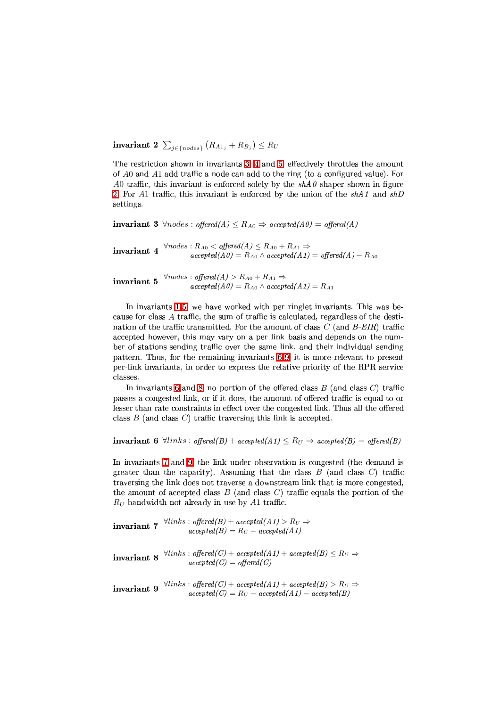invariant 2  $\sum_{i \in \{nodes\}} (R_{A1_i} + R_{B_i}) \le R_U$ 

The restriction shown in invariants 3, 4 and 5, effectively throttles the amount of A0 and A1 add traffic a node can add to the ring (to a configured value). For A0 traffic, this invariant is enforced solely by the  $shA0$  shaper shown in figure 2. For A1 traffic, this invariant is enforced by the union of the  $shA1$  and  $shD$ settings.

<span id="page-8-0"></span>**invariant 3**  $\forall nodes : offered(A) \leq R_{A0} \Rightarrow accepted(A0) = offered(A)$ 

<span id="page-8-1"></span>invariant 4  $\forall nodes : R_{A0} < offered(A) \leq R_{A0} + R_{A1} \Rightarrow$ <br> $accepted(A0) = R_{A0} \land accepted(A1) = offered(A) - R_{A0}$ 

<span id="page-8-2"></span>invariant 5  $\forall nodes : offered(A) > R_{A0} + R_{A1} \Rightarrow$ <br> $accepted(A0) = R_{A0} \land accepted(A1) = R_{A1}$ 

In invariants 1-5, we have worked with per ringlet invariants. This was because for class A traffic, the sum of traffic is calculated, regardless of the destination of the traffic transmitted. For the amount of class  $C$  (and  $B$ -EIR) traffic accepted however, this may vary on a per link basis and depends on the number of stations sending traffic over the same link, and their individual sending pattern. Thus, for the remaining invariants 6-9, it is more relevant to present per-link invariants, in order to express the relative priority of the RPR service classes.

In invariants 6 and 8, no portion of the offered class  $B$  (and class  $C$ ) traffic passes a congested link, or if it does, the amount of offered traffic is equal to or lesser than rate constraints in effect over the congested link. Thus all the offered class  $B$  (and class  $C$ ) traffic traversing this link is accepted.

<span id="page-8-3"></span>**invariant 6**  $\forall links : offered(B) + accepted(A1) \leq R_U \Rightarrow accepted(B) = offered(B)$ 

In invariants 7 and 9, the link under observation is congested (the demand is greater than the capacity). Assuming that the class  $B$  (and class  $C$ ) traffic traversing the link does not traverse a downstream link that is more congested, the amount of accepted class  $B$  (and class  $C$ ) traffic equals the portion of the  $R_U$  bandwidth not already in use by A1 traffic.

<span id="page-8-6"></span>**invariant 7**  $\forall links : offered(B) + accepted(A1) > R_U \Rightarrow$  $accepted(B) = R_U - accepted(A1)$ 

<span id="page-8-5"></span>**invariant 8**  $\forall links : offered(C) + accepted(A1) + accepted(B) \leq R_U \Rightarrow$  $accepted(C) = offered(C)$ 

<span id="page-8-4"></span>**invariant 9**  $\forall links : offered(C) + accepted(A1) + accepted(B) > R_U \Rightarrow accepted(C) = R_U - accepted(A1) - accepted(B)$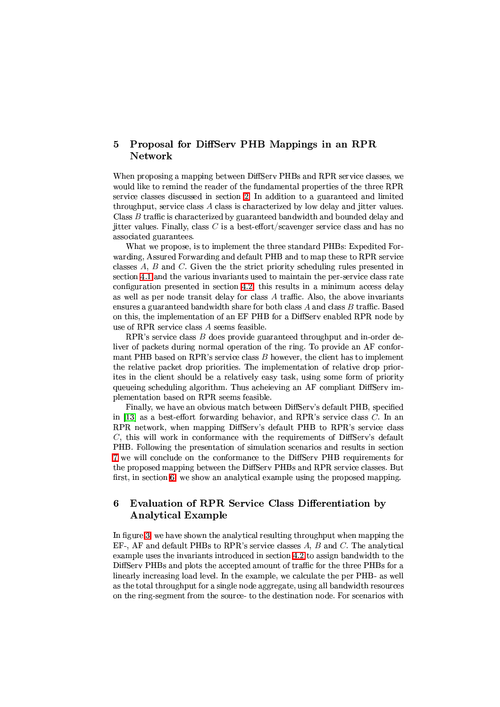## <span id="page-9-0"></span>Proposal for DiffServ PHB Mappings in an RPR  $\overline{5}$ Network

When proposing a mapping between DiffServ PHBs and RPR service classes, we would like to remind the reader of the fundamental properties of the three RPR service classes discussed in section 2. In addition to a guaranteed and limited throughput, service class A class is characterized by low delay and jitter values. Class B traffic is characterized by guaranteed bandwidth and bounded delay and jitter values. Finally, class  $C$  is a best-effort/scavenger service class and has no associated guarantees.

What we propose, is to implement the three standard PHBs: Expedited Forwarding, Assured Forwarding and default PHB and to map these to RPR service classes  $A, B$  and  $C$ . Given the strict priority scheduling rules presented in section 4.1 and the various invariants used to maintain the per-service class rate configuration presented in section 4.2, this results in a minimum access delay as well as per node transit delay for class  $A$  traffic. Also, the above invariants ensures a guaranteed bandwidth share for both class  $A$  and class  $B$  traffic. Based on this, the implementation of an EF PHB for a DiffServ enabled RPR node by use of RPR service class A seems feasible.

RPR's service class  $B$  does provide guaranteed throughout and in-order deliver of packets during normal operation of the ring. To provide an AF conformant PHB based on RPR's service class  $B$  however, the client has to implement the relative packet drop priorities. The implementation of relative drop priorites in the client should be a relatively easy task, using some form of priority queueing scheduling algorithm. Thus acheieving an AF compliant DiffServ implementation based on RPR seems feasible.

Finally, we have an obvious match between DiffServ's default PHB, specified in [13] as a best-effort forwarding behavior, and RPR's service class  $C$ . In an RPR network, when mapping DiffServ's default PHB to RPR's service class  $C$ , this will work in conformance with the requirements of DiffServ's default PHB. Following the presentation of simulation scenarios and results in section 7 we will conclude on the conformance to the DiffSery PHB requirements for the proposed mapping between the DiffServ PHBs and RPR service classes. But first, in section 6, we show an analytical example using the proposed mapping.

### <span id="page-9-1"></span>Evaluation of RPR Service Class Differentiation by 6 **Analytical Example**

In figure 3, we have shown the analytical resulting throughput when mapping the  $EF$ -, AF and default PHBs to RPR's service classes A, B and C. The analytical example uses the invariants introduced in section 4.2 to assign bandwidth to the DiffServ PHBs and plots the accepted amount of traffic for the three PHBs for a linearly increasing load level. In the example, we calculate the per PHB- as well as the total throughput for a single node aggregate, using all bandwidth resources on the ring-segment from the source- to the destination node. For scenarios with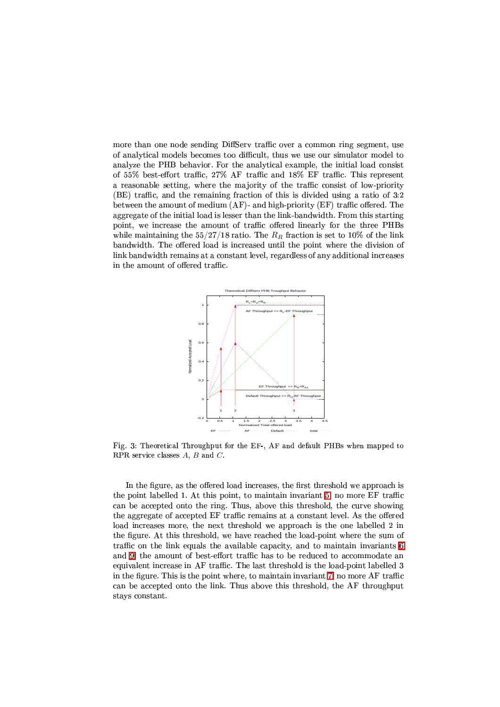more than one node sending DiffServ traffic over a common ring segment, use of analytical models becomes too difficult, thus we use our simulator model to analyze the PHB behavior. For the analytical example, the initial load consist of 55% best-effort traffic, 27% AF traffic and 18% EF traffic. This represent a reasonable setting, where the majority of the traffic consist of low-priority (BE) traffic, and the remaining fraction of this is divided using a ratio of 3:2 between the amount of medium (AF)- and high-priority (EF) traffic offered. The aggregate of the initial load is lesser than the link-bandwidth. From this starting point, we increase the amount of traffic offered linearly for the three PHBs while maintaining the  $5/27/18$  ratio. The  $R_R$  fraction is set to 10% of the link bandwidth. The offered load is increased until the point where the division of link bandwidth remains at a constant level, regardless of any additional increases in the amount of offered traffic.



<span id="page-10-0"></span>Fig. 3: Theoretical Throughput for the EF-, AF and default PHBs when mapped to RPR service classes  $A$ ,  $B$  and  $C$ .

In the figure, as the offered load increases, the first threshold we approach is the point labelled 1. At this point, to maintain invariant 5, no more EF traffic can be accepted onto the ring. Thus, above this threshold, the curve showing the aggregate of accepted EF traffic remains at a constant level. As the offered load increases more, the next threshold we approach is the one labelled 2 in the figure. At this threshold, we have reached the load-point where the sum of traffic on the link equals the available capacity, and to maintain invariants 6 and 9, the amount of best-effort traffic has to be reduced to accommodate an equivalent increase in AF traffic. The last threshold is the load-point labelled 3 in the figure. This is the point where, to maintain invariant 7, no more AF traffic can be accepted onto the link. Thus above this threshold, the AF throughput stays constant.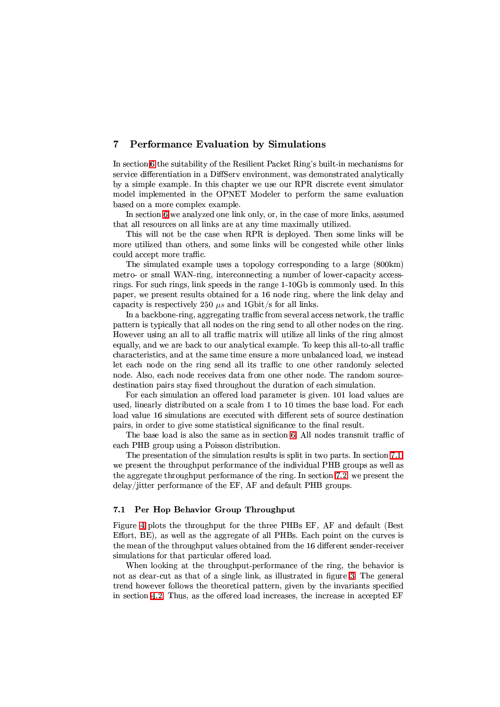#### <span id="page-11-0"></span> $\overline{7}$ Performance Evaluation by Simulations

In section 6 the suitability of the Resilient Packet Ring's built-in mechanisms for service differentiation in a DiffServ environment, was demonstrated analytically by a simple example. In this chapter we use our RPR discrete event simulator model implemented in the OPNET Modeler to perform the same evaluation based on a more complex example.

In section 6 we analyzed one link only, or, in the case of more links, assumed that all resources on all links are at any time maximally utilized.

This will not be the case when RPR is deployed. Then some links will be more utilized than others, and some links will be congested while other links could accept more traffic.

The simulated example uses a topology corresponding to a large (800km) metro- or small WAN-ring, interconnecting a number of lower-capacity accessrings. For such rings, link speeds in the range 1-10Gb is commonly used. In this paper, we present results obtained for a 16 node ring, where the link delay and capacity is respectively 250  $\mu s$  and 1Gbit/s for all links.

In a backbone-ring, aggregating traffic from several access network, the traffic pattern is typically that all nodes on the ring send to all other nodes on the ring. However using an all to all traffic matrix will utilize all links of the ring almost equally, and we are back to our analytical example. To keep this all-to-all traffic characteristics, and at the same time ensure a more unbalanced load, we instead let each node on the ring send all its traffic to one other randomly selected node. Also, each node receives data from one other node. The random sourcedestination pairs stay fixed throughout the duration of each simulation.

For each simulation an offered load parameter is given. 101 load values are used, linearly distributed on a scale from 1 to 10 times the base load. For each load value 16 simulations are executed with different sets of source destination pairs, in order to give some statistical significance to the final result.

The base load is also the same as in section 6. All nodes transmit traffic of each PHB group using a Poisson distribution.

The presentation of the simulation results is split in two parts. In section 7.1, we present the throughput performance of the individual PHB groups as well as the aggregate throughput performance of the ring. In section 7.2, we present the delay/jitter performance of the EF, AF and default PHB groups.

#### <span id="page-11-1"></span> $7.1$ Per Hop Behavior Group Throughput

Figure 4 plots the throughput for the three PHBs EF, AF and default (Best Effort, BE), as well as the aggregate of all PHBs. Each point on the curves is the mean of the throughput values obtained from the 16 different sender-receiver simulations for that particular offered load.

When looking at the throughput-performance of the ring, the behavior is not as clear-cut as that of a single link, as illustrated in figure 3. The general trend however follows the theoretical pattern, given by the invariants specified in section 4.2. Thus, as the offered load increases, the increase in accepted EF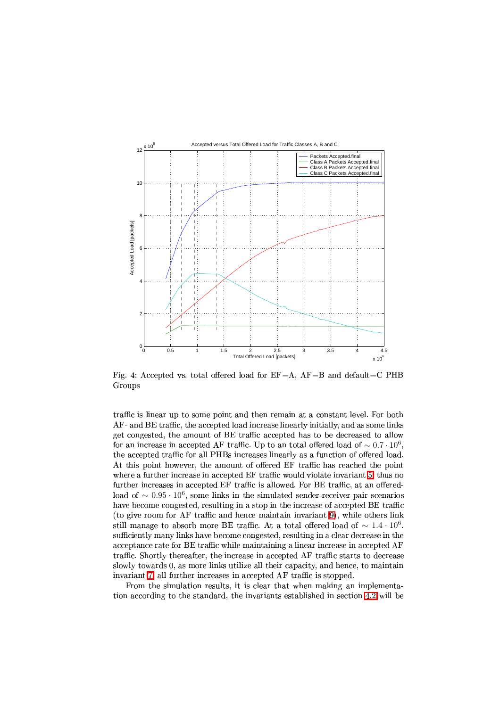

<span id="page-12-0"></span>Fig. 4: Accepted vs. total offered load for  $EF = A$ ,  $AF = B$  and  $default = C$  PHB Groups

traffic is linear up to some point and then remain at a constant level. For both  $\mathbf{r}$  . The set of  $\mathbf{r}$  is the set of  $\mathbf{r}$  ,  $\mathbf{r}$  ,  $\mathbf{r}$  ,  $\mathbf{r}$  ,  $\mathbf{r}$  ,  $\mathbf{r}$  ,  $\mathbf{r}$  ,  $\mathbf{r}$  ,  $\mathbf{r}$  ,  $\mathbf{r}$  ,  $\mathbf{r}$  ,  $\mathbf{r}$  ,  $\mathbf{r}$  ,  $\mathbf{r}$  ,  $\mathbf{r}$  ,  $\mathbf{r}$  , get congested, the amount of BE traffic accepted has to be decreased to allow for an increase in accepted AF traffic. Up to an total offered load of  $\sim 0.7 \cdot 10^6,$ the accepted traffic for all PHBs increases linearly as a function of offered load. At this point however, the amount of offered EF traffic has reached the point wherea further increase in accepted EF traffic would violate invariant 5, thus no further increases in accepted EF traffic is allowed. For BE traffic, at an offeredload of  $\sim 0.95 \cdot 10^6$ , some links in the simulated sender-receiver pair scenarios have become congested, resulting in a stop in the increase of accepted BE traffic (togive room for AF traffic and hence maintain invariant  $9$ ), while others link still manage to absorb more BE traffic. At a total offered load of  $\sim 1.4\cdot 10^6.$ sufficiently many links have become congested, resulting in a clear decrease in the acceptance rate for BE traffic while maintaining a linear increase in accepted AF traffic. Shortly thereafter, the increase in accepted AF traffic starts to decrease slowly towards 0, as more links utilize all their capacity, and hence, to maintain invariant7, all further increases in accepted AF traffic is stopped.

From the simulation results, it is clear that when making an implementationaccording to the standard, the invariants established in section 4.2 will be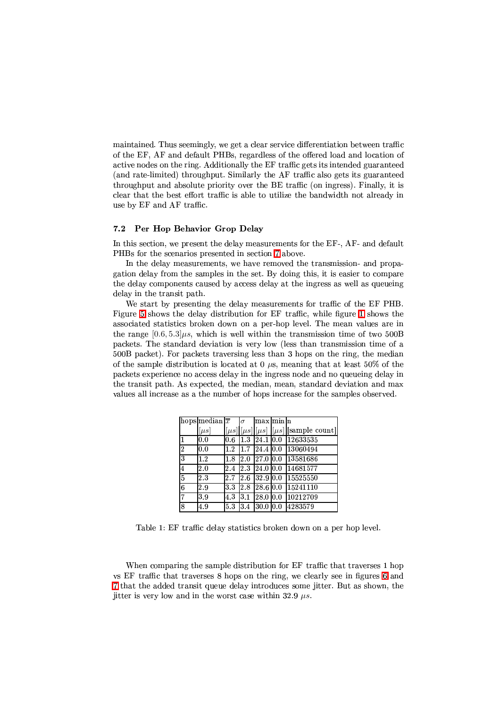maintained. Thus seemingly, we get a clear service differentiation between traffic of the EF, AF and default PHBs, regardless of the offered load and location of active nodes on the ring. Additionally the EF traffic gets its intended guaranteed (and rate-limited) throughput. Similarly the AF traffic also gets its guaranteed throughput and absolute priority over the BE traffic (on ingress). Finally, it is clear that the best effort traffic is able to utilize the bandwidth not already in use by EF and AF traffic.

#### <span id="page-13-0"></span> $7.2$ Per Hop Behavior Grop Delay

In this section, we present the delay measurements for the EF-, AF- and default PHBs for the scenarios presented in section 7 above.

In the delay measurements, we have removed the transmission- and propagation delay from the samples in the set. By doing this, it is easier to compare the delay components caused by access delay at the ingress as well as queueing delay in the transit path.

We start by presenting the delay measurements for traffic of the EF PHB. Figure 5 shows the delay distribution for EF traffic, while figure 1 shows the associated statistics broken down on a per-hop level. The mean values are in the range  $[0.6, 5.3]$   $\mu$ s, which is well within the transmission time of two 500B packets. The standard deviation is very low (less than transmission time of a 500B packet). For packets traversing less than 3 hops on the ring, the median of the sample distribution is located at 0  $\mu$ s, meaning that at least 50% of the packets experience no access delay in the ingress node and no queueing delay in the transit path. As expected, the median, mean, standard deviation and max values all increase as a the number of hops increase for the samples observed.

|                | hops median $\sqrt{x}$ |         | $\sigma$ | maxminh   |     |                                                     |
|----------------|------------------------|---------|----------|-----------|-----|-----------------------------------------------------|
|                | $[\mu s]$              |         |          |           |     | $[\mu s][\mu s][\mu s][\mu s][\text{sample count}]$ |
| 1              | 0.0                    | 0.6     | 1.3      | 24.1 0.0  |     | 12633535                                            |
| $\overline{2}$ | 0.0                    | 1.2     | l1.7     | 24.4 0.0  |     | 13060494                                            |
| $\overline{3}$ | 1.2                    | 1.8     | 2.0      | 127.010.0 |     | 13581686                                            |
| $\overline{4}$ | 2.0                    | $2.4\,$ | 23       | 24.010.0  |     | 14681577                                            |
| $\overline{5}$ | 23                     | 2.7     | 2.6      | 32.910.0  |     | 15525550                                            |
| 6              | 2.9                    | l3.3    | 2.8      | 28.6 0.0  |     | 15241110                                            |
| $\overline{7}$ | 3.9                    | 43      | 3.1      | 28.010.0  |     | 10212709                                            |
| 8              | 4.9                    | 53      | 3.4      | 30.0      | 0.0 | 4283579                                             |

<span id="page-13-1"></span>Table 1: EF traffic delay statistics broken down on a per hop level.

When comparing the sample distribution for EF traffic that traverses 1 hop vs EF traffic that traverses 8 hops on the ring, we clearly see in figures 6 and 7 that the added transit queue delay introduces some jitter. But as shown, the itter is very low and in the worst case within 32.9  $\mu s$ .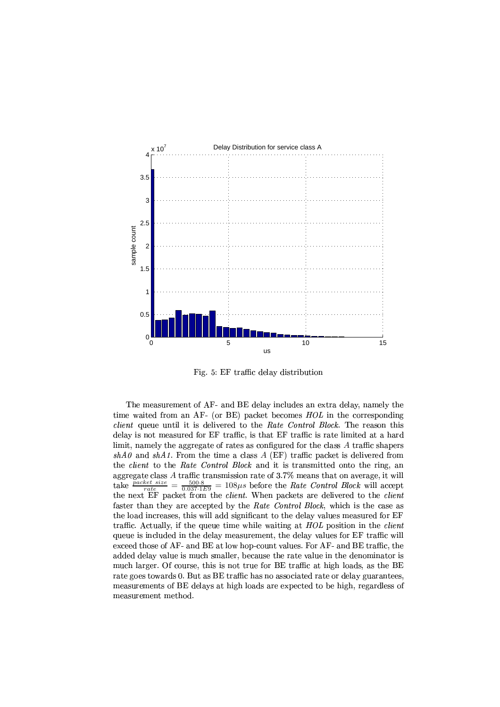

<span id="page-14-0"></span>Fig. 5: EF traffic delay distribution

The measurement of AF- and BE delay includes an extra delay, namely the time waited from an AF- (or BE) packet becomes  $HOL$  in the corresponding *client* queue until it is delivered to the Rate Control Block. The reason this delay is not measured for EF traffic, is that EF traffic is rate limited at a hard limit, namely the aggregate of rates as configured for the class A traffic shapers  $shA0$  and  $shA1$ . From the time a class A (EF) traffic packet is delivered from the *client* to the Rate Control Block and it is transmitted onto the ring, an aggregate class A traffic transmission rate of  $3.7\%$  means that on average, it will  $\frac{500.8}{0.037.1E9} = 108 \mu s$  before the *Rate Control Block* will accept take *packet size*  $\equiv$ the next EF packet from the *client*. When packets are delivered to the *client* faster than they are accepted by the Rate Control Block, which is the case as the load increases, this will add significant to the delay values measured for EF traffic. Actually, if the queue time while waiting at  $HOL$  position in the *client* queue is included in the delay measurement, the delay values for EF traffic will exceed those of AF- and BE at low hop-count values. For AF- and BE traffic, the added delay value is much smaller, because the rate value in the denominator is much larger. Of course, this is not true for BE traffic at high loads, as the BE rate goes towards 0. But as BE traffic has no associated rate or delay guarantees, measurements of BE delays at high loads are expected to be high, regardless of measurement method.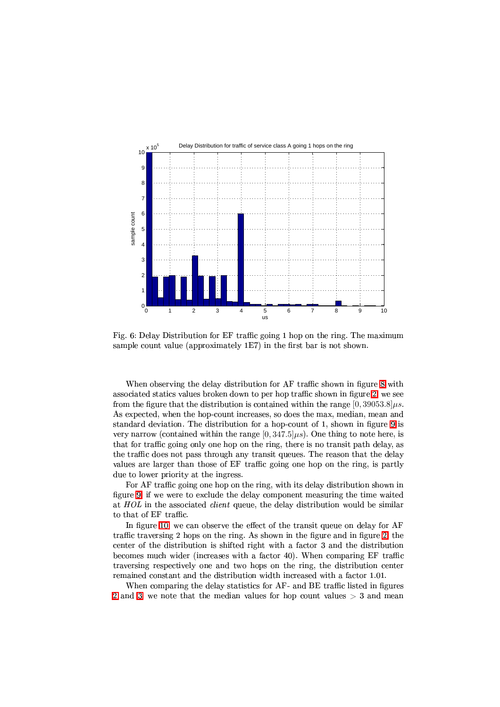

<span id="page-15-0"></span>Fig. 6: Delay Distribution for EF traffic going 1 hop on the ring. The maximum sample count value (approximately 1E7) in the first bar is not shown.

When observing the delay distribution for AF traffic shown in figure 8 with associated statics values broken down to per hop traffic shown in figure 2, we see from the figure that the distribution is contained within the range  $[0, 39053.8]$   $\mu$ s. As expected, when the hop-count increases, so does the max, median, mean and standard deviation. The distribution for a hop-count of 1, shown in figure 9 is very narrow (contained within the range  $[0, 347.5] \mu s$ ). One thing to note here, is that for traffic going only one hop on the ring, there is no transit path delay, as the traffic does not pass through any transit queues. The reason that the delay values are larger than those of EF traffic going one hop on the ring, is partly due to lower priority at the ingress.

For AF traffic going one hop on the ring, with its delay distribution shown in figure 9, if we were to exclude the delay component measuring the time waited at HOL in the associated *client* queue, the delay distribution would be similar to that of EF traffic.

In figure 10, we can observe the effect of the transit queue on delay for AF traffic traversing 2 hops on the ring. As shown in the figure and in figure 2, the center of the distribution is shifted right with a factor 3 and the distribution becomes much wider (increases with a factor 40). When comparing EF traffic traversing respectively one and two hops on the ring, the distribution center remained constant and the distribution width increased with a factor 1.01.

When comparing the delay statistics for AF- and BE traffic listed in figures 2 and 3, we note that the median values for hop count values  $>$  3 and mean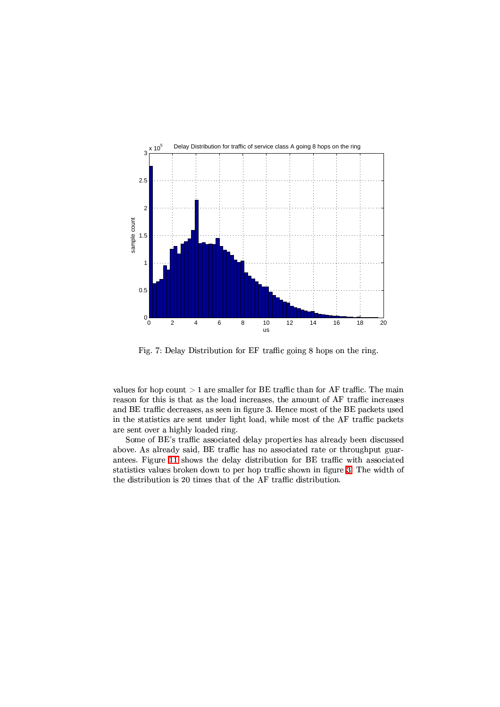

Fig. 7: Delay Distribution for EF traffic going 8 hops on the ring.

<span id="page-16-0"></span>values for hop count  $>1$  are smaller for BE traffic than for AF traffic. The main reason for this is that as the load increases, the amount of AF traffic increases and BE traffic decreases, as seen in figure 3. Hence most of the BE packets used in the statistics are sent under light load, while most of the AF traffic packets are sent over a highly loaded ring.

Some of BE's traffic associated delay properties has already been discussed above. As already said, BE traffic has no associated rate or throughput guarantees. Figure 11 shows the delay distribution for BE traffic with associated statistics values broken down to per hop traffic shown in figure 3. The width of the distribution is 20 times that of the AF traffic distribution.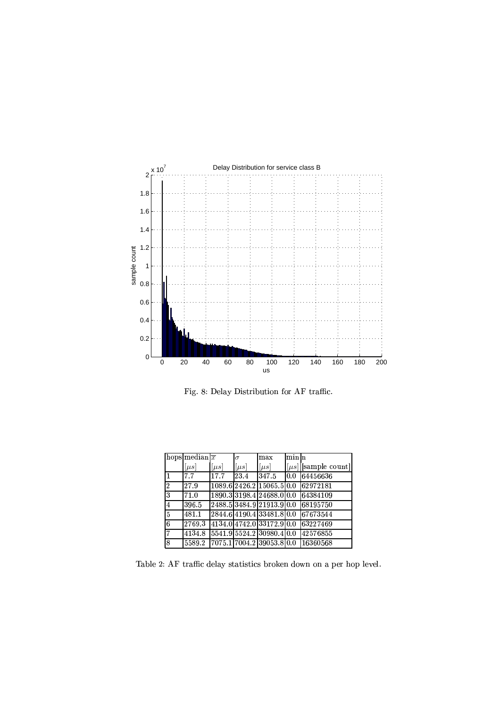

<span id="page-17-0"></span>Fig. 8: Delay Distribution for AF traffic.

|                | hops median $\sqrt{\overline{x}}$ |         | $\sigma$  | max                              | lminIn |                        |
|----------------|-----------------------------------|---------|-----------|----------------------------------|--------|------------------------|
|                | $[\mu s]$                         | $\mu s$ | $ \mu s $ | $\mu s$                          |        | $\mu s$   sample count |
|                | 7.7                               | 17.7    | 23.4      | 347.5                            | 0.0    | 64456636               |
| 2              | 27.9                              |         |           | [1089.6]2426.2]15065.5]0.0       |        | 62972181               |
| 3              | 71.0                              |         |           | 1890 3  3198 4  24688 0  0.0     |        | 64384109               |
| ι4.            | 396.5                             |         |           | 2488.5 3484.9 21913.9 0.0        |        | 68195750               |
| $\overline{5}$ | 481.1                             |         |           | 2844.64190.433481.80.0           |        | 67673544               |
| 6              | 2769.3                            |         |           | 4134.0 4742.0 33172.9 0.0        |        | 63227469               |
| 7              | 4134.8                            |         |           | 5541.9 5524.2 30980.4 0.0        |        | 42576855               |
| 8              |                                   |         |           | 5589.2 7075.1 7004.2 39053.8 0.0 |        | 16360568               |

<span id="page-17-1"></span>! % !. ! (% ! % (% ( # # # ! "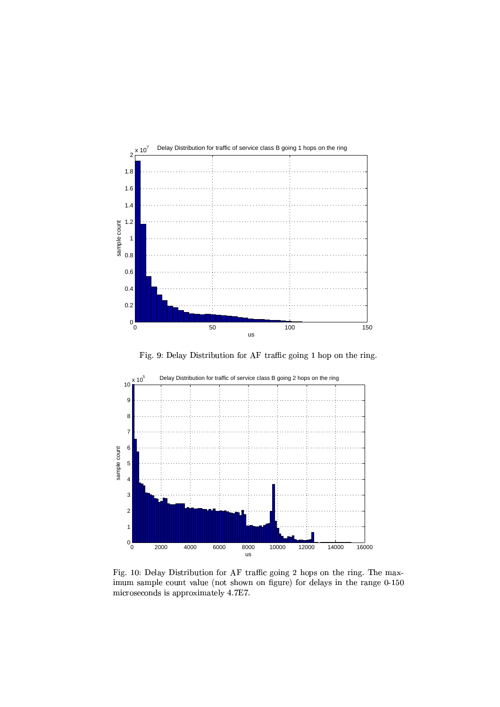

Fig. 9: Delay Distribution for AF traffic going 1 hop on the ring.

<span id="page-18-0"></span>

<span id="page-18-1"></span>) is the state of the state of the state  $\mathbf{r}$  ,  $\mathbf{r}$  is the state of the state of the state of the state of the state of the state of the state of the state of the state of the state of the state of the state of t imum sample count value (not shown on figure) for delays in the range 0-150 microseconds is approximately 4.7E7.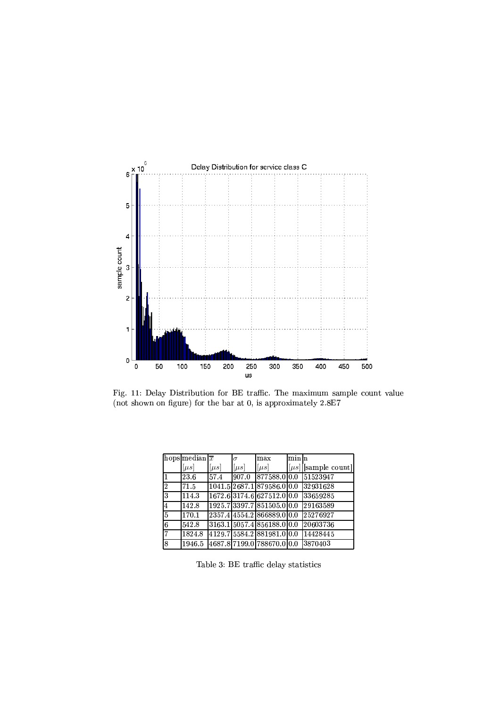

<span id="page-19-1"></span>(not shown on figure) for the bar at  $0$ , is approximately  $2.8E7$ 

|   | hops median $\overline{x}$ |           | $\sigma$  | max                         | lminIn |                        |
|---|----------------------------|-----------|-----------|-----------------------------|--------|------------------------|
|   | $[\mu s]$                  | $[\mu s]$ | $ \mu s $ | $[\mu s]$                   |        | $\mu s$   sample count |
|   | 23.6                       | 57.4      | 907.0     | 877588.0 0.0                |        | 51523947               |
| 2 | 71.5                       |           |           | 1041.5 2687.1 879586.0 0.0  |        | 32931628               |
| 3 | 114.3                      |           |           | 1672.63174.6627512.00.0     |        | 33659285               |
| 4 | 142.8                      |           |           | 1925.73397.7851505.00.0     |        | 29163589               |
| 5 | 170.1                      |           |           | 2357.4 4554.2 866889.0 0.0  |        | 25276927               |
| 6 | 542.8                      |           |           | 3163 1 5057 4 856188 0 0 0  |        | 20603736               |
|   | 1824.8                     |           |           | 4129.75584.2881981.00.0     |        | 14428445               |
| 8 | 1946.5                     |           |           | 14687.817199.01788670.010.0 |        | 3870403                |

<span id="page-19-0"></span>! % !. ! (% ! % (% (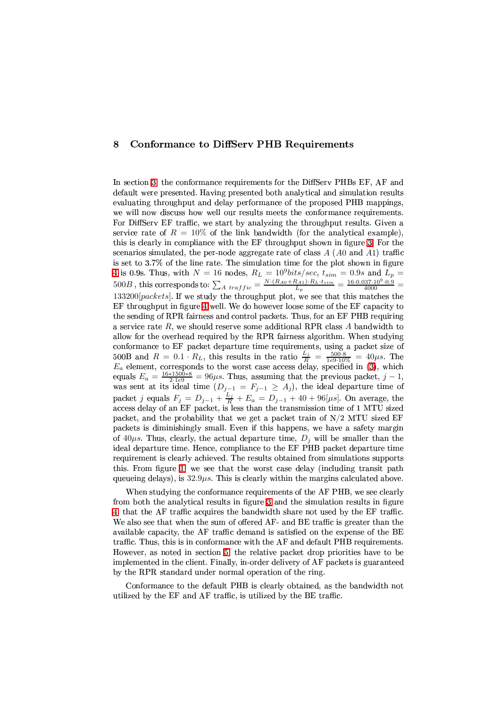#### <span id="page-20-0"></span>**Conformance to DiffServ PHB Requirements** 8

In section 3, the conformance requirements for the DiffServ PHBs EF, AF and default were presented. Having presented both analytical and simulation results evaluating throughput and delay performance of the proposed PHB mappings, we will now discuss how well our results meets the conformance requirements. For DiffServ EF traffic, we start by analyzing the throughput results. Given a service rate of  $R = 10\%$  of the link bandwidth (for the analytical example), this is clearly in compliance with the EF throughput shown in figure 3. For the scenarios simulated, the per-node aggregate rate of class  $A(A0$  and  $A1)$  traffic is set to 3.7% of the line rate. The simulation time for the plot shown in figure 4 is 0.9s. Thus, with  $N = 16$  nodes,  $R_L = 10^9 bits/sec, t_{sim} = 0.9s$  and  $L_p = 500B$ , this corresponds to:  $\sum_{A \text{ traffic}} \frac{N \cdot (R_{A0} + R_{A1}) \cdot R_L \cdot t_{sim}}{L_p} = \frac{16 \cdot 0.037 \cdot 10^9 \cdot 0.9}{4000}$ 133200[packets]. If we study the throughput plot, we see that this matches the EF throughput in figure 4 well. We do however loose some of the EF capacity to the sending of RPR fairness and control packets. Thus, for an EF PHB requiring a service rate  $R$ , we should reserve some additional RPR class  $A$  bandwidth to allow for the overhead required by the RPR fairness algorithm. When studying conformance to EF packet departure time requirements, using a packet size of 500B and  $R = 0.1 \cdot R_L$ , this results in the ratio  $\frac{L_j}{R} = \frac{500.8}{1e9.10\%} = 40\mu s$ . The  $E_a$  element, corresponds to the worst case access delay, specified in (3), which equals  $E_a = \frac{16*1500*8}{1e9.10\%} = 96\mu s$ . Thus, packet j equals  $F_j = D_{j-1} + \frac{L_j}{R} + E_a = D_{j-1} + 40 + 96[\mu s]$ . On average, the access delay of an EF packet, is less than the transmission time of 1 MTU sized packet, and the probability that we get a packet train of N/2 MTU sized EF packets is diminishingly small. Even if this happens, we have a safety margin of 40 $\mu$ s. Thus, clearly, the actual departure time,  $D_i$  will be smaller than the ideal departure time. Hence, compliance to the EF PHB packet departure time requirement is clearly achieved. The results obtained from simulations supports this. From figure 1, we see that the worst case delay (including transit path queueing delays), is  $32.9\mu s$ . This is clearly within the margins calculated above.

When studying the conformance requirements of the AF PHB, we see clearly from both the analytical results in figure 3 and the simulation results in figure 4, that the AF traffic acquires the bandwidth share not used by the EF traffic. We also see that when the sum of offered AF- and BE traffic is greater than the available capacity, the AF traffic demand is satisfied on the expense of the BE traffic. Thus, this is in conformance with the AF and default PHB requirements. However, as noted in section 5, the relative packet drop priorities have to be implemented in the client. Finally, in-order delivery of AF packets is guaranteed by the RPR standard under normal operation of the ring.

Conformance to the default PHB is clearly obtained, as the bandwidth not utilized by the EF and AF traffic, is utilized by the BE traffic.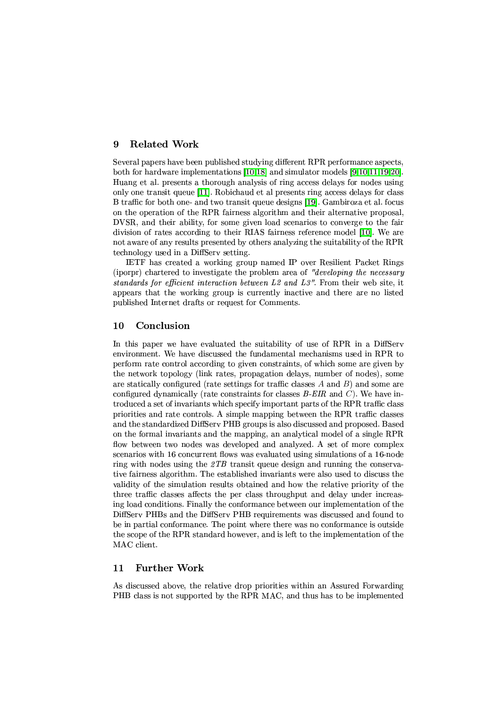#### <span id="page-21-0"></span>**Related Work** 9

Several papers have been published studying different RPR performance aspects, both for hardware implementations  $[10,18]$  and simulator models  $[9,10,11,19,20]$ . Huang et al. presents a thorough analysis of ring access delays for nodes using only one transit queue [11]. Robichaud et al presents ring access delays for class B traffic for both one- and two transit queue designs [19]. Gambiroza et al. focus on the operation of the RPR fairness algorithm and their alternative proposal, DVSR, and their ability, for some given load scenarios to converge to the fair division of rates according to their RIAS fairness reference model [10]. We are not aware of any results presented by others analyzing the suitability of the RPR technology used in a DiffSery setting.

IETF has created a working group named IP over Resilient Packet Rings (iporpr) chartered to investigate the problem area of "developing the necessary standards for efficient interaction between L2 and L3". From their web site, it appears that the working group is currently inactive and there are no listed published Internet drafts or request for Comments.

#### <span id="page-21-1"></span>10 Conclusion

In this paper we have evaluated the suitability of use of RPR in a DiffServ environment. We have discussed the fundamental mechanisms used in RPR to perform rate control according to given constraints, of which some are given by the network topology (link rates, propagation delays, number of nodes), some are statically configured (rate settings for traffic classes  $A$  and  $B$ ) and some are configured dynamically (rate constraints for classes  $B$ -EIR and C). We have introduced a set of invariants which specify important parts of the RPR traffic class priorities and rate controls. A simple mapping between the RPR traffic classes and the standardized DiffServ PHB groups is also discussed and proposed. Based on the formal invariants and the mapping, an analytical model of a single RPR flow between two nodes was developed and analyzed. A set of more complex scenarios with 16 concurrent flows was evaluated using simulations of a 16-node ring with nodes using the  $\mathcal{Z}TB$  transit queue design and running the conservative fairness algorithm. The established invariants were also used to discuss the validity of the simulation results obtained and how the relative priority of the three traffic classes affects the per class throughput and delay under increasing load conditions. Finally the conformance between our implementation of the DiffServ PHBs and the DiffServ PHB requirements was discussed and found to be in partial conformance. The point where there was no conformance is outside the scope of the RPR standard however, and is left to the implementation of the MAC client.

#### <span id="page-21-2"></span> $11$ **Further Work**

As discussed above, the relative drop priorities within an Assured Forwarding PHB class is not supported by the RPR MAC, and thus has to be implemented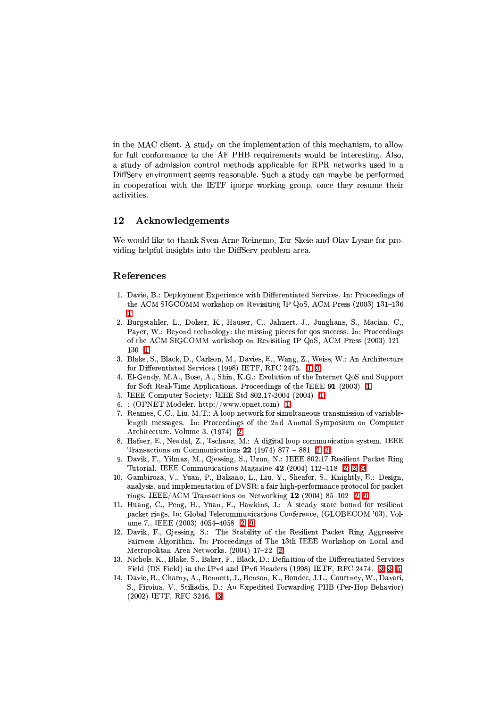in the MAC client. A study on the implementation of this mechanism, to allow for full conformance to the AF PHB requirements would be interesting. Also, a study of admission control methods applicable for RPR networks used in a DiffServ environment seems reasonable. Such a study can maybe be performed in cooperation with the IETF iporpr working group, once they resume their activities.

#### $12$ Acknowledgements

We would like to thank Sven-Arne Reinemo, Tor Skeie and Olav Lysne for providing helpful insights into the DiffServ problem area.

# <span id="page-22-0"></span>References

- 1. Davie, B.: Deployment Experience with Differentiated Services. In: Proceedings of the ACM SIGCOMM workshop on Revisiting IP QoS, ACM Press (2003) 131-136
- <span id="page-22-1"></span>2. Burgstahler, L., Dolzer, K., Hauser, C., Jahnert, J., Junghans, S., Macian, C., Payer, W.: Beyond technology: the missing pieces for gos success. In: Proceedings of the ACM SIGCOMM workshop on Revisiting IP QoS, ACM Press (2003) 121- $130 - 1$
- <span id="page-22-2"></span>3. Blake, S., Black, D., Carlson, M., Davies, E., Wang, Z., Weiss, W.: An Architecture for Differentiated Services (1998) IETF, RFC 2475. 1, 3
- <span id="page-22-3"></span>4. El-Gendy, M.A., Bose, A., Shin, K.G.: Evolution of the Internet QoS and Support for Soft Real-Time Applications. Proceedings of the IEEE  $91$  (2003) 1
- <span id="page-22-5"></span><span id="page-22-4"></span>5. IEEE Computer Society: IEEE Std 802.17-2004 (2004) 1
- <span id="page-22-6"></span> $6.$ : (OPNET Modeler. http://www.opnet.com) 1
- 7. Reames, C.C., Liu, M.T.: A loop network for simultaneous transmission of variablelength messages. In: Proceedings of the 2nd Annual Symposium on Computer Architecture. Volume 3. (1974) 2
- <span id="page-22-7"></span>8. Hafner, E., Nendal, Z., Tschanz, M.: A digital loop communication system. IEEE Transactions on Communications  $22$  (1974) 877 – 881 2.2
- <span id="page-22-8"></span>9. Davik, F., Yilmaz, M., Gjessing, S., Uzun, N.: IEEE 802.17 Resilient Packet Ring Tutorial. IEEE Communications Magazine 42 (2004) 112-118 2, 2, 9
- <span id="page-22-9"></span>10. Gambiroza, V., Yuan, P., Balzano, L., Liu, Y., Sheafor, S., Knightly, E.: Design, analysis, and implementation of DVSR: a fair high-performance protocol for packet rings. IEEE/ACM Transactions on Networking 12 (2004) 85-102 2, 9
- <span id="page-22-10"></span>11. Huang, C., Peng, H., Yuan, F., Hawkins, J.: A steady state bound for resilient packet rings. In: Global Telecommunications Conference. (GLOBECOM '03). Volume 7., IEEE (2003) 4054-4058 2.9
- <span id="page-22-11"></span>12. Davik, F., Gjessing, S.: The Stability of the Resilient Packet Ring Aggressive Fairness Algorithm. In: Proceedings of The 13th IEEE Workshop on Local and Metropolitan Area Networks. (2004) 17-22 2
- <span id="page-22-12"></span>13. Nichols, K., Blake, S., Baker, F., Black, D.: Definition of the Differentiated Services Field (DS Field) in the IPv4 and IPv6 Headers (1998) IETF, RFC 2474. 3, 3, 5
- <span id="page-22-13"></span>14. Davie, B., Charny, A., Bennett, J., Benson, K., Boudec, J.L., Courtney, W., Davari, S., Firoiua, V., Stiliadis, D.: An Expedited Forwarding PHB (Per-Hop Behavior) (2002) IETF, RFC 3246. 3